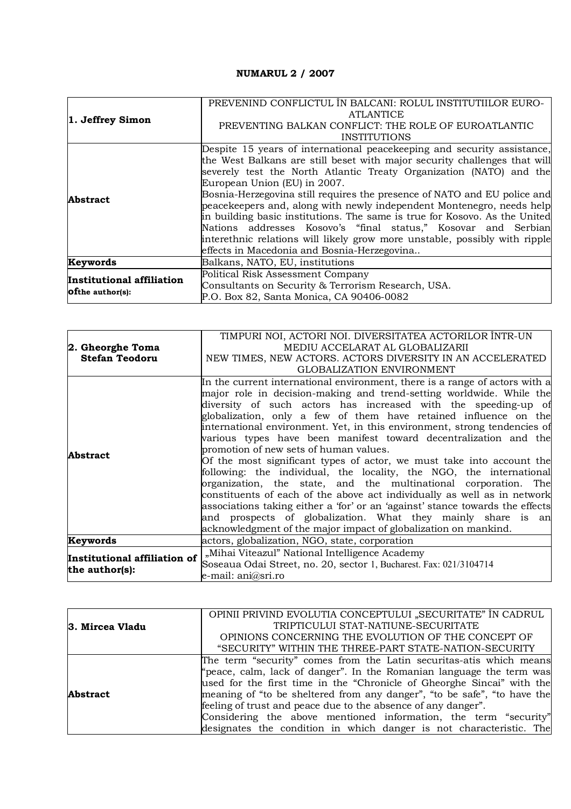## **NUMARUL 2 / 2007**

| 1. Jeffrey Simon                                     | PREVENIND CONFLICTUL ÎN BALCANI: ROLUL INSTITUTIILOR EURO-                 |
|------------------------------------------------------|----------------------------------------------------------------------------|
|                                                      | <b>ATLANTICE</b>                                                           |
|                                                      | PREVENTING BALKAN CONFLICT: THE ROLE OF EUROATLANTIC                       |
|                                                      | <b>INSTITUTIONS</b>                                                        |
| <b>Abstract</b>                                      | Despite 15 years of international peacekeeping and security assistance,    |
|                                                      | the West Balkans are still beset with major security challenges that will  |
|                                                      | severely test the North Atlantic Treaty Organization (NATO) and the        |
|                                                      | European Union (EU) in 2007.                                               |
|                                                      | Bosnia-Herzegovina still requires the presence of NATO and EU police and   |
|                                                      | peacekeepers and, along with newly independent Montenegro, needs help      |
|                                                      | in building basic institutions. The same is true for Kosovo. As the United |
|                                                      | Nations addresses Kosovo's "final status," Kosovar and Serbian             |
|                                                      | interethnic relations will likely grow more unstable, possibly with ripple |
|                                                      | effects in Macedonia and Bosnia-Herzegovina                                |
| Keywords                                             | Balkans, NATO, EU, institutions                                            |
| Institutional affiliation<br><b>Ofthe author(s):</b> | Political Risk Assessment Company                                          |
|                                                      | Consultants on Security & Terrorism Research, USA.                         |
|                                                      | P.O. Box 82, Santa Monica, CA 90406-0082                                   |

|                                                | TIMPURI NOI, ACTORI NOI. DIVERSITATEA ACTORILOR ÎNTR-UN                       |
|------------------------------------------------|-------------------------------------------------------------------------------|
| 2. Gheorghe Toma                               | MEDIU ACCELARAT AL GLOBALIZARII                                               |
| <b>Stefan Teodoru</b>                          | NEW TIMES, NEW ACTORS. ACTORS DIVERSITY IN AN ACCELERATED                     |
|                                                | <b>GLOBALIZATION ENVIRONMENT</b>                                              |
|                                                | In the current international environment, there is a range of actors with a   |
|                                                | major role in decision-making and trend-setting worldwide. While the          |
|                                                | diversity of such actors has increased with the speeding-up of                |
|                                                | globalization, only a few of them have retained influence on the              |
|                                                | international environment. Yet, in this environment, strong tendencies of     |
|                                                | various types have been manifest toward decentralization and the              |
| <b>Abstract</b>                                | promotion of new sets of human values.                                        |
|                                                | Of the most significant types of actor, we must take into account the         |
|                                                | following: the individual, the locality, the NGO, the international           |
|                                                | organization, the state, and the multinational corporation. The               |
|                                                | constituents of each of the above act individually as well as in network      |
|                                                | associations taking either a 'for' or an 'against' stance towards the effects |
|                                                | and prospects of globalization. What they mainly share is an                  |
|                                                | acknowledgment of the major impact of globalization on mankind.               |
| Keywords                                       | actors, globalization, NGO, state, corporation                                |
| Institutional affiliation of<br>the author(s): | "Mihai Viteazul" National Intelligence Academy                                |
|                                                | Soseaua Odai Street, no. 20, sector 1, Bucharest. Fax: 021/3104714            |
|                                                | e-mail: ani@sri.ro                                                            |

|                 | OPINII PRIVIND EVOLUTIA CONCEPTULUI "SECURITATE" ÎN CADRUL               |
|-----------------|--------------------------------------------------------------------------|
| 3. Mircea Vladu | TRIPTICULUI STAT-NATIUNE-SECURITATE                                      |
|                 | OPINIONS CONCERNING THE EVOLUTION OF THE CONCEPT OF                      |
|                 | "SECURITY" WITHIN THE THREE-PART STATE-NATION-SECURITY                   |
|                 | The term "security" comes from the Latin securitas-atis which means      |
|                 | "peace, calm, lack of danger". In the Romanian language the term was     |
|                 | used for the first time in the "Chronicle of Gheorghe Sincai" with the   |
| <b>Abstract</b> | meaning of "to be sheltered from any danger", "to be safe", "to have the |
|                 | feeling of trust and peace due to the absence of any danger".            |
|                 | Considering the above mentioned information, the term "security"         |
|                 | designates the condition in which danger is not characteristic. The      |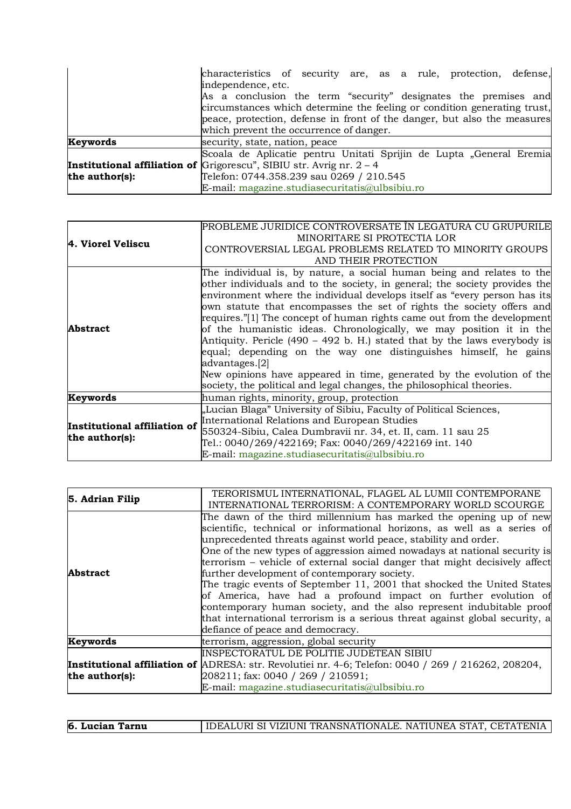|                | characteristics of security are, as a rule, protection, defense,              |
|----------------|-------------------------------------------------------------------------------|
|                | independence, etc.                                                            |
|                | As a conclusion the term "security" designates the premises and               |
|                | circumstances which determine the feeling or condition generating trust,      |
|                | peace, protection, defense in front of the danger, but also the measures      |
|                | which prevent the occurrence of danger.                                       |
| Keywords       | security, state, nation, peace                                                |
|                | Scoala de Aplicatie pentru Unitati Sprijin de Lupta "General Eremia           |
|                | <b>Institutional affiliation of</b> Grigorescu", SIBIU str. Avrig nr. $2 - 4$ |
| the author(s): | Telefon: 0744.358.239 sau 0269 / 210.545                                      |
|                | E-mail: magazine.studiasecuritatis@ulbsibiu.ro                                |

| 4. Viorel Veliscu                              | PROBLEME JURIDICE CONTROVERSATE ÎN LEGATURA CU GRUPURILE<br>MINORITARE SI PROTECTIA LOR |
|------------------------------------------------|-----------------------------------------------------------------------------------------|
|                                                | CONTROVERSIAL LEGAL PROBLEMS RELATED TO MINORITY GROUPS                                 |
|                                                | AND THEIR PROTECTION                                                                    |
|                                                | The individual is, by nature, a social human being and relates to the                   |
|                                                | other individuals and to the society, in general; the society provides the              |
|                                                | environment where the individual develops itself as "every person has its               |
| Abstract                                       | own statute that encompasses the set of rights the society offers and                   |
|                                                | requires."[1] The concept of human rights came out from the development                 |
|                                                | of the humanistic ideas. Chronologically, we may position it in the                     |
|                                                | Antiquity. Pericle (490 – 492 b. H.) stated that by the laws everybody is               |
|                                                | equal; depending on the way one distinguishes himself, he gains                         |
|                                                | advantages.[2]                                                                          |
|                                                | New opinions have appeared in time, generated by the evolution of the                   |
|                                                | society, the political and legal changes, the philosophical theories.                   |
| Keywords                                       | human rights, minority, group, protection                                               |
| Institutional affiliation of<br>the author(s): | "Lucian Blaga" University of Sibiu, Faculty of Political Sciences,                      |
|                                                | International Relations and European Studies                                            |
|                                                | 550324-Sibiu, Calea Dumbravii nr. 34, et. II, cam. 11 sau 25                            |
|                                                | Tel.: 0040/269/422169; Fax: 0040/269/422169 int. 140                                    |
|                                                | E-mail: magazine.studiasecuritatis@ulbsibiu.ro                                          |

| 5. Adrian Filip | TERORISMUL INTERNATIONAL, FLAGEL AL LUMII CONTEMPORANE<br>INTERNATIONAL TERRORISM: A CONTEMPORARY WORLD SCOURGE                                                                                                                                                                                                                                                                                                                                                                                                                                                                                                                                                                                                                                                   |
|-----------------|-------------------------------------------------------------------------------------------------------------------------------------------------------------------------------------------------------------------------------------------------------------------------------------------------------------------------------------------------------------------------------------------------------------------------------------------------------------------------------------------------------------------------------------------------------------------------------------------------------------------------------------------------------------------------------------------------------------------------------------------------------------------|
| <b>Abstract</b> | The dawn of the third millennium has marked the opening up of new<br>scientific, technical or informational horizons, as well as a series of<br>unprecedented threats against world peace, stability and order.<br>One of the new types of aggression aimed nowadays at national security is<br>terrorism – vehicle of external social danger that might decisively affect<br>further development of contemporary society.<br>The tragic events of September 11, 2001 that shocked the United States<br>of America, have had a profound impact on further evolution of<br>contemporary human society, and the also represent indubitable proof<br>that international terrorism is a serious threat against global security, a<br>defiance of peace and democracy. |
| Keywords        | terrorism, aggression, global security                                                                                                                                                                                                                                                                                                                                                                                                                                                                                                                                                                                                                                                                                                                            |
|                 | INSPECTORATUL DE POLITIE JUDETEAN SIBIU                                                                                                                                                                                                                                                                                                                                                                                                                                                                                                                                                                                                                                                                                                                           |
|                 | <b>Institutional affiliation of</b> ADRESA: str. Revolutiei nr. 4-6; Telefon: 0040 / 269 / 216262, 208204,                                                                                                                                                                                                                                                                                                                                                                                                                                                                                                                                                                                                                                                        |
| the author(s):  | 208211; fax: 0040 / 269 / 210591;                                                                                                                                                                                                                                                                                                                                                                                                                                                                                                                                                                                                                                                                                                                                 |
|                 | E-mail: magazine.studiasecuritatis@ulbsibiu.ro                                                                                                                                                                                                                                                                                                                                                                                                                                                                                                                                                                                                                                                                                                                    |

**6. Lucian Tarnu | IDEALURI SI VIZIUNI TRANSNATIONALE. NATIUNEA STAT, CETATENIA**